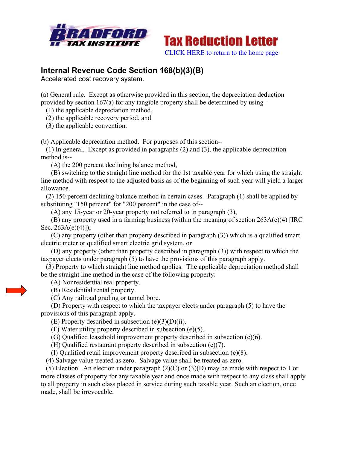



## **Internal Revenue Code Section 168(b)(3)(B)**

Accelerated cost recovery system.

(a) General rule. Except as otherwise provided in this section, the depreciation deduction provided by section 167(a) for any tangible property shall be determined by using--

(1) the applicable d depreciation method,

(2) the applicable recovery period, and

(3) the applicable c convention.

(b) Applicable depreciation method. For purposes of this section--

 $(1)$  In general. Except as provided in paragraphs  $(2)$  and  $(3)$ , the applicable depreciation method i s--

(A) the 200 percent declining balance method,

(B) switching to the straight line method for the 1st taxable year for which using the straight line method with respect to the adjusted basis as of the beginning of such year will yield a larger allowance.

(2) 150 percent declining balance method in certain cases. Paragraph (1) shall be applied by substituting "150 percent" for "200 percent" in the case of--

(A) any 15-year or 20-year property not referred to in paragraph (3),

 $(B)$  any property used in a farming business (within the meaning of section 263A(e)(4) [IRC Sec. 263A(e)(4)]),

(C) any property (other than property described in paragraph (3)) which is a qualified smart electric meter or qualified smart electric grid system, or

(D) any property (other than property described in paragraph (3)) with respect to which the  $t$ axpayer elects under paragraph  $(5)$  to have the provisions of this paragraph apply.

(3) Property to which straight line method applies. The applicable depreciation method shall be the straight line method in the case of the following property:

(A) N Nonresidenti al real prope erty.

- (B) Residential rental property.
- (C) A Any railroad grading or t tunnel bore.

(D) Property with respect to which the taxpayer elects under paragraph (5) to have the provisions of this paragraph apply.

 $(E)$  Property described in subsection  $(e)(3)(D)(ii)$ .

 $(F)$  Water utility property described in subsection (e)(5).

(G) Qualified leasehold improvement property described in subsection (e)(6).

(H) Qualified restaurant property described in subsection  $(e)(7)$ .

(I) Qu ualified reta il improvem ment property y described i in subsection n (e)(8).

(4) Salvage value treated as zero. Salvage value shall be treated as zero.

(5) Election. An election under paragraph  $(2)(C)$  or  $(3)(D)$  may be made with respect to 1 or more classes of property for any taxable year and once made with respect to any class shall apply to all property in such class placed in service during such taxable year. Such an election, once made, shall be irrevocable.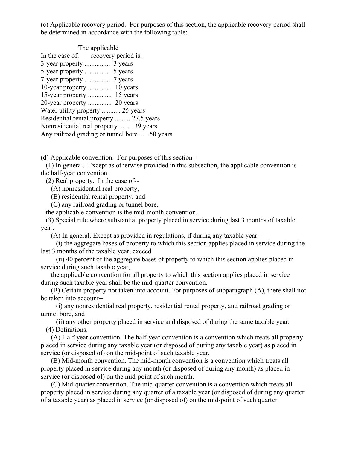(c) Applicable recovery period. For purposes of this section, the applicable recovery period shall be determined in accordance with the following table:

| The applicable                                |  |  |
|-----------------------------------------------|--|--|
| In the case of: recovery period is:           |  |  |
|                                               |  |  |
|                                               |  |  |
|                                               |  |  |
|                                               |  |  |
|                                               |  |  |
|                                               |  |  |
| Water utility property  25 years              |  |  |
| Residential rental property  27.5 years       |  |  |
| Nonresidential real property  39 years        |  |  |
| Any railroad grading or tunnel bore  50 years |  |  |

(d) Applicable convention. For purposes of this section--

 (1) In general. Except as otherwise provided in this subsection, the applicable convention is the half-year convention.

(2) Real property. In the case of--

(A) nonresidential real property,

(B) residential rental property, and

(C) any railroad grading or tunnel bore,

the applicable convention is the mid-month convention.

 (3) Special rule where substantial property placed in service during last 3 months of taxable year.

(A) In general. Except as provided in regulations, if during any taxable year--

 (i) the aggregate bases of property to which this section applies placed in service during the last 3 months of the taxable year, exceed

 (ii) 40 percent of the aggregate bases of property to which this section applies placed in service during such taxable year,

 the applicable convention for all property to which this section applies placed in service during such taxable year shall be the mid-quarter convention.

 (B) Certain property not taken into account. For purposes of subparagraph (A), there shall not be taken into account--

 (i) any nonresidential real property, residential rental property, and railroad grading or tunnel bore, and

 (ii) any other property placed in service and disposed of during the same taxable year. (4) Definitions.

 (A) Half-year convention. The half-year convention is a convention which treats all property placed in service during any taxable year (or disposed of during any taxable year) as placed in service (or disposed of) on the mid-point of such taxable year.

 (B) Mid-month convention. The mid-month convention is a convention which treats all property placed in service during any month (or disposed of during any month) as placed in service (or disposed of) on the mid-point of such month.

 (C) Mid-quarter convention. The mid-quarter convention is a convention which treats all property placed in service during any quarter of a taxable year (or disposed of during any quarter of a taxable year) as placed in service (or disposed of) on the mid-point of such quarter.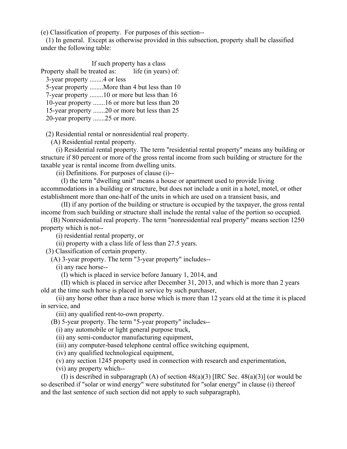(e) Classification of property. For purposes of this section--

 (1) In general. Except as otherwise provided in this subsection, property shall be classified under the following table:

 If such property has a class Property shall be treated as: life (in years) of: 3-year property ........4 or less 5-year property ........More than 4 but less than 10 7-year property ........10 or more but less than 16 10-year property .......16 or more but less than 20 15-year property .......20 or more but less than 25 20-year property .......25 or more.

(2) Residential rental or nonresidential real property.

(A) Residential rental property.

 (i) Residential rental property. The term "residential rental property" means any building or structure if 80 percent or more of the gross rental income from such building or structure for the taxable year is rental income from dwelling units.

(ii) Definitions. For purposes of clause (i)--

 (I) the term "dwelling unit" means a house or apartment used to provide living accommodations in a building or structure, but does not include a unit in a hotel, motel, or other establishment more than one-half of the units in which are used on a transient basis, and

 (II) if any portion of the building or structure is occupied by the taxpayer, the gross rental income from such building or structure shall include the rental value of the portion so occupied.

 (B) Nonresidential real property. The term "nonresidential real property" means section 1250 property which is not--

(i) residential rental property, or

(ii) property with a class life of less than 27.5 years.

(3) Classification of certain property.

(A) 3-year property. The term "3-year property" includes--

(i) any race horse--

(I) which is placed in service before January 1, 2014, and

 (II) which is placed in service after December 31, 2013, and which is more than 2 years old at the time such horse is placed in service by such purchaser,

 (ii) any horse other than a race horse which is more than 12 years old at the time it is placed in service, and

(iii) any qualified rent-to-own property.

(B) 5-year property. The term "5-year property" includes--

(i) any automobile or light general purpose truck,

(ii) any semi-conductor manufacturing equipment,

(iii) any computer-based telephone central office switching equipment,

(iv) any qualified technological equipment,

(v) any section 1245 property used in connection with research and experimentation,

(vi) any property which--

(I) is described in subparagraph (A) of section  $48(a)(3)$  [IRC Sec.  $48(a)(3)$ ] (or would be so described if "solar or wind energy" were substituted for "solar energy" in clause (i) thereof and the last sentence of such section did not apply to such subparagraph),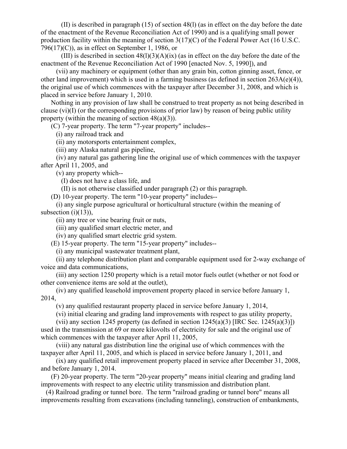(II) is described in paragraph (15) of section 48(l) (as in effect on the day before the date of the enactment of the Revenue Reconciliation Act of 1990) and is a qualifying small power production facility within the meaning of section 3(17)(C) of the Federal Power Act (16 U.S.C. 796(17)(C)), as in effect on September 1, 1986, or

(III) is described in section  $48(1)(3)(A)(ix)$  (as in effect on the day before the date of the enactment of the Revenue Reconciliation Act of 1990 [enacted Nov. 5, 1990]), and

 (vii) any machinery or equipment (other than any grain bin, cotton ginning asset, fence, or other land improvement) which is used in a farming business (as defined in section 263A(e)(4)), the original use of which commences with the taxpayer after December 31, 2008, and which is placed in service before January 1, 2010.

 Nothing in any provision of law shall be construed to treat property as not being described in clause (vi)(I) (or the corresponding provisions of prior law) by reason of being public utility property (within the meaning of section  $48(a)(3)$ ).

(C) 7-year property. The term "7-year property" includes--

(i) any railroad track and

(ii) any motorsports entertainment complex,

(iii) any Alaska natural gas pipeline,

 (iv) any natural gas gathering line the original use of which commences with the taxpayer after April 11, 2005, and

(v) any property which--

(I) does not have a class life, and

(II) is not otherwise classified under paragraph (2) or this paragraph.

(D) 10-year property. The term "10-year property" includes--

 (i) any single purpose agricultural or horticultural structure (within the meaning of subsection  $(i)(13)$ ),

(ii) any tree or vine bearing fruit or nuts,

(iii) any qualified smart electric meter, and

(iv) any qualified smart electric grid system.

(E) 15-year property. The term "15-year property" includes--

(i) any municipal wastewater treatment plant,

 (ii) any telephone distribution plant and comparable equipment used for 2-way exchange of voice and data communications,

 (iii) any section 1250 property which is a retail motor fuels outlet (whether or not food or other convenience items are sold at the outlet),

 (iv) any qualified leasehold improvement property placed in service before January 1, 2014,

(v) any qualified restaurant property placed in service before January 1, 2014,

(vi) initial clearing and grading land improvements with respect to gas utility property,

(vii) any section 1245 property (as defined in section  $1245(a)(3)$  [IRC Sec. 1245(a)(3)]) used in the transmission at 69 or more kilovolts of electricity for sale and the original use of which commences with the taxpayer after April 11, 2005,

 (viii) any natural gas distribution line the original use of which commences with the taxpayer after April 11, 2005, and which is placed in service before January 1, 2011, and

 (ix) any qualified retail improvement property placed in service after December 31, 2008, and before January 1, 2014.

 (F) 20-year property. The term "20-year property" means initial clearing and grading land improvements with respect to any electric utility transmission and distribution plant.

 (4) Railroad grading or tunnel bore. The term "railroad grading or tunnel bore" means all improvements resulting from excavations (including tunneling), construction of embankments,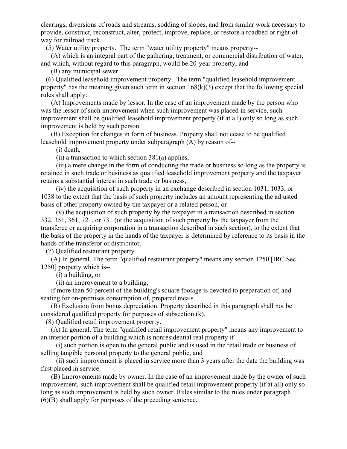clearings, diversions of roads and streams, sodding of slopes, and from similar work necessary to provide, construct, reconstruct, alter, protect, improve, replace, or restore a roadbed or right-ofway for railroad track.

(5) Water utility property. The term "water utility property" means property--

 (A) which is an integral part of the gathering, treatment, or commercial distribution of water, and which, without regard to this paragraph, would be 20-year property, and

(B) any municipal sewer.

 (6) Qualified leasehold improvement property. The term "qualified leasehold improvement property" has the meaning given such term in section  $168(k)(3)$  except that the following special rules shall apply:

 (A) Improvements made by lessor. In the case of an improvement made by the person who was the lessor of such improvement when such improvement was placed in service, such improvement shall be qualified leasehold improvement property (if at all) only so long as such improvement is held by such person.

 (B) Exception for changes in form of business. Property shall not cease to be qualified leasehold improvement property under subparagraph (A) by reason of--

(i) death,

 $(ii)$  a transaction to which section 381(a) applies,

 (iii) a mere change in the form of conducting the trade or business so long as the property is retained in such trade or business as qualified leasehold improvement property and the taxpayer retains a substantial interest in such trade or business,

 (iv) the acquisition of such property in an exchange described in section 1031, 1033, or 1038 to the extent that the basis of such property includes an amount representing the adjusted basis of other property owned by the taxpayer or a related person, or

 (v) the acquisition of such property by the taxpayer in a transaction described in section 332, 351, 361, 721, or 731 (or the acquisition of such property by the taxpayer from the transferee or acquiring corporation in a transaction described in such section), to the extent that the basis of the property in the hands of the taxpayer is determined by reference to its basis in the hands of the transferor or distributor.

(7) Qualified restaurant property.

 (A) In general. The term "qualified restaurant property" means any section 1250 [IRC Sec. 1250] property which is--

(i) a building, or

(ii) an improvement to a building,

 if more than 50 percent of the building's square footage is devoted to preparation of, and seating for on-premises consumption of, prepared meals.

 (B) Exclusion from bonus depreciation. Property described in this paragraph shall not be considered qualified property for purposes of subsection (k).

(8) Qualified retail improvement property.

 (A) In general. The term "qualified retail improvement property" means any improvement to an interior portion of a building which is nonresidential real property if--

 (i) such portion is open to the general public and is used in the retail trade or business of selling tangible personal property to the general public, and

 (ii) such improvement is placed in service more than 3 years after the date the building was first placed in service.

 (B) Improvements made by owner. In the case of an improvement made by the owner of such improvement, such improvement shall be qualified retail improvement property (if at all) only so long as such improvement is held by such owner. Rules similar to the rules under paragraph (6)(B) shall apply for purposes of the preceding sentence.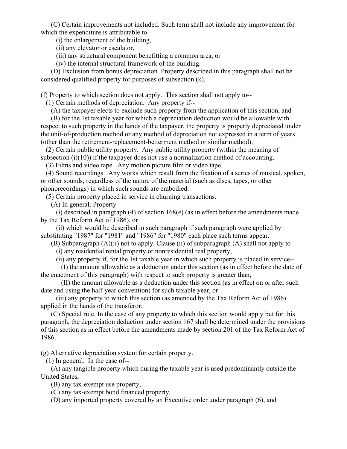(C) Certain improvements not included. Such term shall not include any improvement for which the expenditure is attributable to--

(i) the enlargement of the building,

(ii) any elevator or escalator,

(iii) any structural component benefitting a common area, or

(iv) the internal structural framework of the building.

 (D) Exclusion from bonus depreciation. Property described in this paragraph shall not be considered qualified property for purposes of subsection (k).

(f) Property to which section does not apply. This section shall not apply to--

(1) Certain methods of depreciation. Any property if--

(A) the taxpayer elects to exclude such property from the application of this section, and

 (B) for the 1st taxable year for which a depreciation deduction would be allowable with respect to such property in the hands of the taxpayer, the property is properly depreciated under the unit-of-production method or any method of depreciation not expressed in a term of years (other than the retirement-replacement-betterment method or similar method).

 (2) Certain public utility property. Any public utility property (within the meaning of subsection  $(i)(10)$ ) if the taxpayer does not use a normalization method of accounting.

(3) Films and video tape. Any motion picture film or video tape.

 (4) Sound recordings. Any works which result from the fixation of a series of musical, spoken, or other sounds, regardless of the nature of the material (such as discs, tapes, or other phonorecordings) in which such sounds are embodied.

(5) Certain property placed in service in churning transactions.

(A) In general. Property--

 (i) described in paragraph (4) of section 168(e) (as in effect before the amendments made by the Tax Reform Act of 1986), or

 (ii) which would be described in such paragraph if such paragraph were applied by substituting "1987" for "1981" and "1986" for "1980" each place such terms appear.

(B) Subparagraph (A)(ii) not to apply. Clause (ii) of subparagraph (A) shall not apply to--

(i) any residential rental property or nonresidential real property,

(ii) any property if, for the 1st taxable year in which such property is placed in service--

 (I) the amount allowable as a deduction under this section (as in effect before the date of the enactment of this paragraph) with respect to such property is greater than,

 (II) the amount allowable as a deduction under this section (as in effect on or after such date and using the half-year convention) for such taxable year, or

 (iii) any property to which this section (as amended by the Tax Reform Act of 1986) applied in the hands of the transferor.

 (C) Special rule. In the case of any property to which this section would apply but for this paragraph, the depreciation deduction under section 167 shall be determined under the provisions of this section as in effect before the amendments made by section 201 of the Tax Reform Act of 1986.

(g) Alternative depreciation system for certain property.

(1) In general. In the case of--

 (A) any tangible property which during the taxable year is used predominantly outside the United States,

(B) any tax-exempt use property,

(C) any tax-exempt bond financed property,

(D) any imported property covered by an Executive order under paragraph (6), and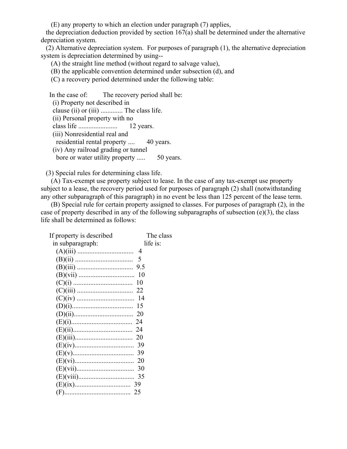(E) any property to which an election under paragraph (7) applies,

 the depreciation deduction provided by section 167(a) shall be determined under the alternative depreciation system.

 (2) Alternative depreciation system. For purposes of paragraph (1), the alternative depreciation system is depreciation determined by using--

(A) the straight line method (without regard to salvage value),

- (B) the applicable convention determined under subsection (d), and
- (C) a recovery period determined under the following table:

 In the case of: The recovery period shall be: (i) Property not described in clause (ii) or (iii) ............. The class life. (ii) Personal property with no class life ....................... 12 years. (iii) Nonresidential real and residential rental property .... 40 years. (iv) Any railroad grading or tunnel bore or water utility property ..... 50 years.

(3) Special rules for determining class life.

 (A) Tax-exempt use property subject to lease. In the case of any tax-exempt use property subject to a lease, the recovery period used for purposes of paragraph (2) shall (notwithstanding any other subparagraph of this paragraph) in no event be less than 125 percent of the lease term.

 (B) Special rule for certain property assigned to classes. For purposes of paragraph (2), in the case of property described in any of the following subparagraphs of subsection (e)(3), the class life shall be determined as follows:

| If property is described | The class |
|--------------------------|-----------|
| in subparagraph:         | life is:  |
|                          |           |
|                          |           |
|                          |           |
|                          |           |
|                          |           |
|                          |           |
|                          |           |
|                          |           |
|                          |           |
|                          |           |
|                          |           |
|                          |           |
|                          |           |
|                          |           |
|                          |           |
|                          |           |
|                          |           |
|                          |           |
|                          |           |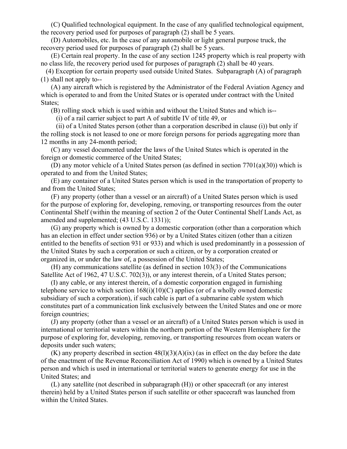(C) Qualified technological equipment. In the case of any qualified technological equipment, the recovery period used for purposes of paragraph (2) shall be 5 years.

 (D) Automobiles, etc. In the case of any automobile or light general purpose truck, the recovery period used for purposes of paragraph (2) shall be 5 years.

 (E) Certain real property. In the case of any section 1245 property which is real property with no class life, the recovery period used for purposes of paragraph (2) shall be 40 years.

 (4) Exception for certain property used outside United States. Subparagraph (A) of paragraph (1) shall not apply to--

 (A) any aircraft which is registered by the Administrator of the Federal Aviation Agency and which is operated to and from the United States or is operated under contract with the United States;

(B) rolling stock which is used within and without the United States and which is--

(i) of a rail carrier subject to part A of subtitle IV of title 49, or

 (ii) of a United States person (other than a corporation described in clause (i)) but only if the rolling stock is not leased to one or more foreign persons for periods aggregating more than 12 months in any 24-month period;

 (C) any vessel documented under the laws of the United States which is operated in the foreign or domestic commerce of the United States;

 (D) any motor vehicle of a United States person (as defined in section 7701(a)(30)) which is operated to and from the United States;

 (E) any container of a United States person which is used in the transportation of property to and from the United States;

 (F) any property (other than a vessel or an aircraft) of a United States person which is used for the purpose of exploring for, developing, removing, or transporting resources from the outer Continental Shelf (within the meaning of section 2 of the Outer Continental Shelf Lands Act, as amended and supplemented; (43 U.S.C. 1331));

 (G) any property which is owned by a domestic corporation (other than a corporation which has an election in effect under section 936) or by a United States citizen (other than a citizen entitled to the benefits of section 931 or 933) and which is used predominantly in a possession of the United States by such a corporation or such a citizen, or by a corporation created or organized in, or under the law of, a possession of the United States;

 (H) any communications satellite (as defined in section 103(3) of the Communications Satellite Act of 1962, 47 U.S.C. 702(3)), or any interest therein, of a United States person;

 (I) any cable, or any interest therein, of a domestic corporation engaged in furnishing telephone service to which section  $168(i)(10)(C)$  applies (or of a wholly owned domestic subsidiary of such a corporation), if such cable is part of a submarine cable system which constitutes part of a communication link exclusively between the United States and one or more foreign countries;

 (J) any property (other than a vessel or an aircraft) of a United States person which is used in international or territorial waters within the northern portion of the Western Hemisphere for the purpose of exploring for, developing, removing, or transporting resources from ocean waters or deposits under such waters;

 $(K)$  any property described in section  $48(1)(3)(A)(ix)$  (as in effect on the day before the date of the enactment of the Revenue Reconciliation Act of 1990) which is owned by a United States person and which is used in international or territorial waters to generate energy for use in the United States; and

 (L) any satellite (not described in subparagraph (H)) or other spacecraft (or any interest therein) held by a United States person if such satellite or other spacecraft was launched from within the United States.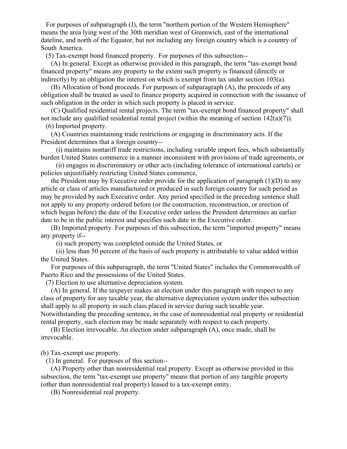For purposes of subparagraph (J), the term "northern portion of the Western Hemisphere" means the area lying west of the 30th meridian west of Greenwich, east of the international dateline, and north of the Equator, but not including any foreign country which is a country of South America.

(5) Tax-exempt bond financed property. For purposes of this subsection--

 (A) In general. Except as otherwise provided in this paragraph, the term "tax-exempt bond financed property" means any property to the extent such property is financed (directly or indirectly) by an obligation the interest on which is exempt from tax under section  $103(a)$ .

 (B) Allocation of bond proceeds. For purposes of subparagraph (A), the proceeds of any obligation shall be treated as used to finance property acquired in connection with the issuance of such obligation in the order in which such property is placed in service.

 (C) Qualified residential rental projects. The term "tax-exempt bond financed property" shall not include any qualified residential rental project (within the meaning of section 142(a)(7)).

(6) Imported property.

 (A) Countries maintaining trade restrictions or engaging in discriminatory acts. If the President determines that a foreign country--

 (i) maintains nontariff trade restrictions, including variable import fees, which substantially burden United States commerce in a manner inconsistent with provisions of trade agreements, or

 (ii) engages in discriminatory or other acts (including tolerance of international cartels) or policies unjustifiably restricting United States commerce,

 the President may by Executive order provide for the application of paragraph (1)(D) to any article or class of articles manufactured or produced in such foreign country for such period as may be provided by such Executive order. Any period specified in the preceding sentence shall not apply to any property ordered before (or the construction, reconstruction, or erection of which began before) the date of the Executive order unless the President determines an earlier date to be in the public interest and specifies such date in the Executive order.

 (B) Imported property. For purposes of this subsection, the term "imported property" means any property if--

(i) such property was completed outside the United States, or

 (ii) less than 50 percent of the basis of such property is attributable to value added within the United States.

 For purposes of this subparagraph, the term "United States" includes the Commonwealth of Puerto Rico and the possessions of the United States.

(7) Election to use alternative depreciation system.

 (A) In general. If the taxpayer makes an election under this paragraph with respect to any class of property for any taxable year, the alternative depreciation system under this subsection shall apply to all property in such class placed in service during such taxable year. Notwithstanding the preceding sentence, in the case of nonresidential real property or residential

rental property, such election may be made separately with respect to each property.

 (B) Election irrevocable. An election under subparagraph (A), once made, shall be irrevocable.

(h) Tax-exempt use property.

(1) In general. For purposes of this section--

 (A) Property other than nonresidential real property. Except as otherwise provided in this subsection, the term "tax-exempt use property" means that portion of any tangible property (other than nonresidential real property) leased to a tax-exempt entity.

(B) Nonresidential real property.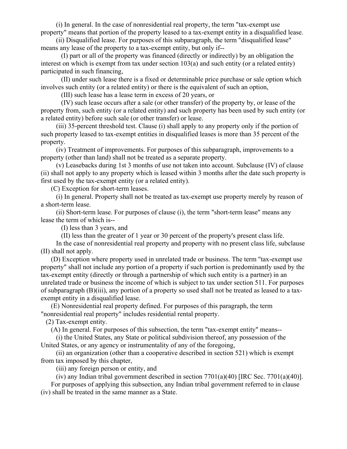(i) In general. In the case of nonresidential real property, the term "tax-exempt use property" means that portion of the property leased to a tax-exempt entity in a disqualified lease.

 (ii) Disqualified lease. For purposes of this subparagraph, the term "disqualified lease" means any lease of the property to a tax-exempt entity, but only if--

 (I) part or all of the property was financed (directly or indirectly) by an obligation the interest on which is exempt from tax under section 103(a) and such entity (or a related entity) participated in such financing,

 (II) under such lease there is a fixed or determinable price purchase or sale option which involves such entity (or a related entity) or there is the equivalent of such an option,

(III) such lease has a lease term in excess of 20 years, or

 (IV) such lease occurs after a sale (or other transfer) of the property by, or lease of the property from, such entity (or a related entity) and such property has been used by such entity (or a related entity) before such sale (or other transfer) or lease.

 (iii) 35-percent threshold test. Clause (i) shall apply to any property only if the portion of such property leased to tax-exempt entities in disqualified leases is more than 35 percent of the property.

 (iv) Treatment of improvements. For purposes of this subparagraph, improvements to a property (other than land) shall not be treated as a separate property.

 (v) Leasebacks during 1st 3 months of use not taken into account. Subclause (IV) of clause (ii) shall not apply to any property which is leased within 3 months after the date such property is first used by the tax-exempt entity (or a related entity).

(C) Exception for short-term leases.

 (i) In general. Property shall not be treated as tax-exempt use property merely by reason of a short-term lease.

 (ii) Short-term lease. For purposes of clause (i), the term "short-term lease" means any lease the term of which is--

(I) less than 3 years, and

(II) less than the greater of 1 year or 30 percent of the property's present class life.

 In the case of nonresidential real property and property with no present class life, subclause (II) shall not apply.

 (D) Exception where property used in unrelated trade or business. The term "tax-exempt use property" shall not include any portion of a property if such portion is predominantly used by the tax-exempt entity (directly or through a partnership of which such entity is a partner) in an unrelated trade or business the income of which is subject to tax under section 511. For purposes of subparagraph (B)(iii), any portion of a property so used shall not be treated as leased to a taxexempt entity in a disqualified lease.

 (E) Nonresidential real property defined. For purposes of this paragraph, the term "nonresidential real property" includes residential rental property.

(2) Tax-exempt entity.

(A) In general. For purposes of this subsection, the term "tax-exempt entity" means--

 (i) the United States, any State or political subdivision thereof, any possession of the United States, or any agency or instrumentality of any of the foregoing,

 (ii) an organization (other than a cooperative described in section 521) which is exempt from tax imposed by this chapter,

(iii) any foreign person or entity, and

(iv) any Indian tribal government described in section  $7701(a)(40)$  [IRC Sec.  $7701(a)(40)$ ].

 For purposes of applying this subsection, any Indian tribal government referred to in clause (iv) shall be treated in the same manner as a State.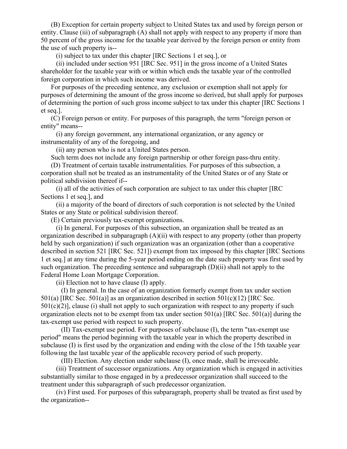(B) Exception for certain property subject to United States tax and used by foreign person or entity. Clause (iii) of subparagraph (A) shall not apply with respect to any property if more than 50 percent of the gross income for the taxable year derived by the foreign person or entity from the use of such property is--

(i) subject to tax under this chapter [IRC Sections 1 et seq.], or

 (ii) included under section 951 [IRC Sec. 951] in the gross income of a United States shareholder for the taxable year with or within which ends the taxable year of the controlled foreign corporation in which such income was derived.

 For purposes of the preceding sentence, any exclusion or exemption shall not apply for purposes of determining the amount of the gross income so derived, but shall apply for purposes of determining the portion of such gross income subject to tax under this chapter [IRC Sections 1 et seq.].

 (C) Foreign person or entity. For purposes of this paragraph, the term "foreign person or entity" means--

 (i) any foreign government, any international organization, or any agency or instrumentality of any of the foregoing, and

(ii) any person who is not a United States person.

Such term does not include any foreign partnership or other foreign pass-thru entity.

 (D) Treatment of certain taxable instrumentalities. For purposes of this subsection, a corporation shall not be treated as an instrumentality of the United States or of any State or political subdivision thereof if--

 (i) all of the activities of such corporation are subject to tax under this chapter [IRC Sections 1 et seq.], and

 (ii) a majority of the board of directors of such corporation is not selected by the United States or any State or political subdivision thereof.

(E) Certain previously tax-exempt organizations.

 (i) In general. For purposes of this subsection, an organization shall be treated as an organization described in subparagraph (A)(ii) with respect to any property (other than property held by such organization) if such organization was an organization (other than a cooperative described in section 521 [IRC Sec. 521]) exempt from tax imposed by this chapter [IRC Sections 1 et seq.] at any time during the 5-year period ending on the date such property was first used by such organization. The preceding sentence and subparagraph  $(D)(ii)$  shall not apply to the Federal Home Loan Mortgage Corporation.

(ii) Election not to have clause (I) apply.

 (I) In general. In the case of an organization formerly exempt from tax under section 501(a) [IRC Sec. 501(a)] as an organization described in section 501(c)(12) [IRC Sec.  $501(c)(2)$ ], clause (i) shall not apply to such organization with respect to any property if such organization elects not to be exempt from tax under section  $501(a)$  [IRC Sec.  $501(a)$ ] during the tax-exempt use period with respect to such property.

 (II) Tax-exempt use period. For purposes of subclause (I), the term "tax-exempt use period" means the period beginning with the taxable year in which the property described in subclause (I) is first used by the organization and ending with the close of the 15th taxable year following the last taxable year of the applicable recovery period of such property.

(III) Election. Any election under subclause (I), once made, shall be irrevocable.

 (iii) Treatment of successor organizations. Any organization which is engaged in activities substantially similar to those engaged in by a predecessor organization shall succeed to the treatment under this subparagraph of such predecessor organization.

 (iv) First used. For purposes of this subparagraph, property shall be treated as first used by the organization--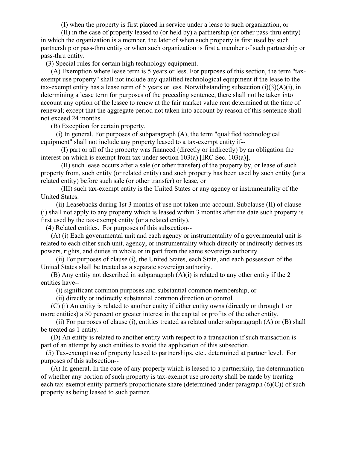(I) when the property is first placed in service under a lease to such organization, or

 (II) in the case of property leased to (or held by) a partnership (or other pass-thru entity) in which the organization is a member, the later of when such property is first used by such partnership or pass-thru entity or when such organization is first a member of such partnership or pass-thru entity.

(3) Special rules for certain high technology equipment.

 (A) Exemption where lease term is 5 years or less. For purposes of this section, the term "taxexempt use property" shall not include any qualified technological equipment if the lease to the tax-exempt entity has a lease term of 5 years or less. Notwithstanding subsection  $(i)(3)(A)(i)$ , in determining a lease term for purposes of the preceding sentence, there shall not be taken into account any option of the lessee to renew at the fair market value rent determined at the time of renewal; except that the aggregate period not taken into account by reason of this sentence shall not exceed 24 months.

(B) Exception for certain property.

 (i) In general. For purposes of subparagraph (A), the term "qualified technological equipment" shall not include any property leased to a tax-exempt entity if--

 (I) part or all of the property was financed (directly or indirectly) by an obligation the interest on which is exempt from tax under section 103(a) [IRC Sec. 103(a)],

 (II) such lease occurs after a sale (or other transfer) of the property by, or lease of such property from, such entity (or related entity) and such property has been used by such entity (or a related entity) before such sale (or other transfer) or lease, or

 (III) such tax-exempt entity is the United States or any agency or instrumentality of the United States.

 (ii) Leasebacks during 1st 3 months of use not taken into account. Subclause (II) of clause (i) shall not apply to any property which is leased within 3 months after the date such property is first used by the tax-exempt entity (or a related entity).

(4) Related entities. For purposes of this subsection--

 (A) (i) Each governmental unit and each agency or instrumentality of a governmental unit is related to each other such unit, agency, or instrumentality which directly or indirectly derives its powers, rights, and duties in whole or in part from the same sovereign authority.

 (ii) For purposes of clause (i), the United States, each State, and each possession of the United States shall be treated as a separate sovereign authority.

(B) Any entity not described in subparagraph  $(A)(i)$  is related to any other entity if the 2 entities have--

(i) significant common purposes and substantial common membership, or

(ii) directly or indirectly substantial common direction or control.

 (C) (i) An entity is related to another entity if either entity owns (directly or through 1 or more entities) a 50 percent or greater interest in the capital or profits of the other entity.

 (ii) For purposes of clause (i), entities treated as related under subparagraph (A) or (B) shall be treated as 1 entity.

 (D) An entity is related to another entity with respect to a transaction if such transaction is part of an attempt by such entities to avoid the application of this subsection.

 (5) Tax-exempt use of property leased to partnerships, etc., determined at partner level. For purposes of this subsection--

 (A) In general. In the case of any property which is leased to a partnership, the determination of whether any portion of such property is tax-exempt use property shall be made by treating each tax-exempt entity partner's proportionate share (determined under paragraph (6)(C)) of such property as being leased to such partner.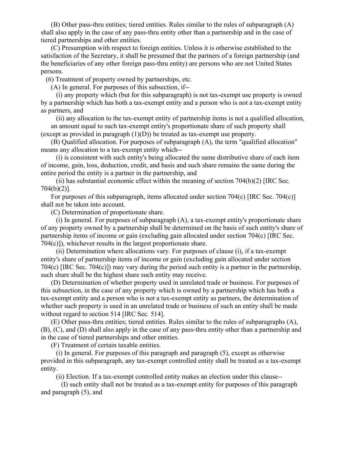(B) Other pass-thru entities; tiered entities. Rules similar to the rules of subparagraph (A) shall also apply in the case of any pass-thru entity other than a partnership and in the case of tiered partnerships and other entities.

 (C) Presumption with respect to foreign entities. Unless it is otherwise established to the satisfaction of the Secretary, it shall be presumed that the partners of a foreign partnership (and the beneficiaries of any other foreign pass-thru entity) are persons who are not United States persons.

(6) Treatment of property owned by partnerships, etc.

(A) In general. For purposes of this subsection, if--

 (i) any property which (but for this subparagraph) is not tax-exempt use property is owned by a partnership which has both a tax-exempt entity and a person who is not a tax-exempt entity as partners, and

 (ii) any allocation to the tax-exempt entity of partnership items is not a qualified allocation, an amount equal to such tax-exempt entity's proportionate share of such property shall (except as provided in paragraph  $(1)(D)$ ) be treated as tax-exempt use property.

 (B) Qualified allocation. For purposes of subparagraph (A), the term "qualified allocation" means any allocation to a tax-exempt entity which--

 (i) is consistent with such entity's being allocated the same distributive share of each item of income, gain, loss, deduction, credit, and basis and such share remains the same during the entire period the entity is a partner in the partnership, and

(ii) has substantial economic effect within the meaning of section  $704(b)(2)$  [IRC Sec. 704(b)(2)].

 For purposes of this subparagraph, items allocated under section 704(c) [IRC Sec. 704(c)] shall not be taken into account.

(C) Determination of proportionate share.

 (i) In general. For purposes of subparagraph (A), a tax-exempt entity's proportionate share of any property owned by a partnership shall be determined on the basis of such entity's share of partnership items of income or gain (excluding gain allocated under section 704(c) [IRC Sec. 704(c)]), whichever results in the largest proportionate share.

 (ii) Determination where allocations vary. For purposes of clause (i), if a tax-exempt entity's share of partnership items of income or gain (excluding gain allocated under section 704(c) [IRC Sec. 704(c)]) may vary during the period such entity is a partner in the partnership, such share shall be the highest share such entity may receive.

 (D) Determination of whether property used in unrelated trade or business. For purposes of this subsection, in the case of any property which is owned by a partnership which has both a tax-exempt entity and a person who is not a tax-exempt entity as partners, the determination of whether such property is used in an unrelated trade or business of such an entity shall be made without regard to section 514 [IRC Sec. 514].

 (E) Other pass-thru entities; tiered entities. Rules similar to the rules of subparagraphs (A), (B), (C), and (D) shall also apply in the case of any pass-thru entity other than a partnership and in the case of tiered partnerships and other entities.

(F) Treatment of certain taxable entities.

 (i) In general. For purposes of this paragraph and paragraph (5), except as otherwise provided in this subparagraph, any tax-exempt controlled entity shall be treated as a tax-exempt entity.

(ii) Election. If a tax-exempt controlled entity makes an election under this clause--

 (I) such entity shall not be treated as a tax-exempt entity for purposes of this paragraph and paragraph (5), and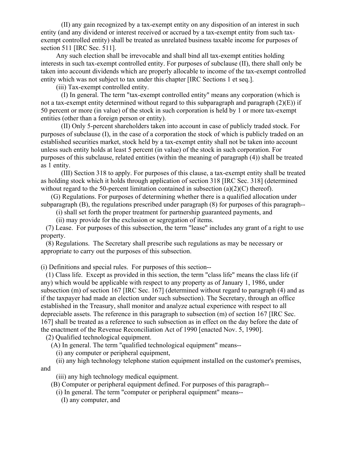(II) any gain recognized by a tax-exempt entity on any disposition of an interest in such entity (and any dividend or interest received or accrued by a tax-exempt entity from such taxexempt controlled entity) shall be treated as unrelated business taxable income for purposes of section 511 [IRC Sec. 511].

 Any such election shall be irrevocable and shall bind all tax-exempt entities holding interests in such tax-exempt controlled entity. For purposes of subclause (II), there shall only be taken into account dividends which are properly allocable to income of the tax-exempt controlled entity which was not subject to tax under this chapter [IRC Sections 1 et seq.].

(iii) Tax-exempt controlled entity.

 (I) In general. The term "tax-exempt controlled entity" means any corporation (which is not a tax-exempt entity determined without regard to this subparagraph and paragraph (2)(E)) if 50 percent or more (in value) of the stock in such corporation is held by 1 or more tax-exempt entities (other than a foreign person or entity).

 (II) Only 5-percent shareholders taken into account in case of publicly traded stock. For purposes of subclause (I), in the case of a corporation the stock of which is publicly traded on an established securities market, stock held by a tax-exempt entity shall not be taken into account unless such entity holds at least 5 percent (in value) of the stock in such corporation. For purposes of this subclause, related entities (within the meaning of paragraph (4)) shall be treated as 1 entity.

 (III) Section 318 to apply. For purposes of this clause, a tax-exempt entity shall be treated as holding stock which it holds through application of section 318 [IRC Sec. 318] (determined without regard to the 50-percent limitation contained in subsection (a)(2)(C) thereof).

 (G) Regulations. For purposes of determining whether there is a qualified allocation under subparagraph (B), the regulations prescribed under paragraph (8) for purposes of this paragraph--

(i) shall set forth the proper treatment for partnership guaranteed payments, and

(ii) may provide for the exclusion or segregation of items.

 (7) Lease. For purposes of this subsection, the term "lease" includes any grant of a right to use property.

 (8) Regulations. The Secretary shall prescribe such regulations as may be necessary or appropriate to carry out the purposes of this subsection.

(i) Definitions and special rules. For purposes of this section--

 (1) Class life. Except as provided in this section, the term "class life" means the class life (if any) which would be applicable with respect to any property as of January 1, 1986, under subsection (m) of section 167 [IRC Sec. 167] (determined without regard to paragraph (4) and as if the taxpayer had made an election under such subsection). The Secretary, through an office established in the Treasury, shall monitor and analyze actual experience with respect to all depreciable assets. The reference in this paragraph to subsection (m) of section 167 [IRC Sec. 167] shall be treated as a reference to such subsection as in effect on the day before the date of the enactment of the Revenue Reconciliation Act of 1990 [enacted Nov. 5, 1990].

(2) Qualified technological equipment.

(A) In general. The term "qualified technological equipment" means--

(i) any computer or peripheral equipment,

 (ii) any high technology telephone station equipment installed on the customer's premises, and

(iii) any high technology medical equipment.

(B) Computer or peripheral equipment defined. For purposes of this paragraph--

(i) In general. The term "computer or peripheral equipment" means--

(I) any computer, and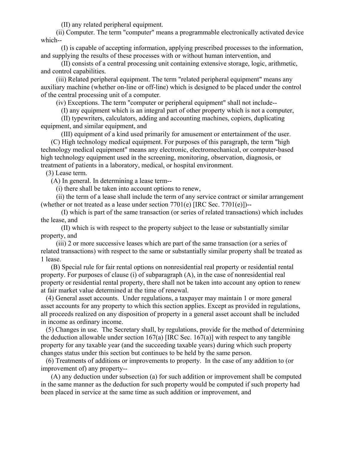(II) any related peripheral equipment.

 (ii) Computer. The term "computer" means a programmable electronically activated device which--

 (I) is capable of accepting information, applying prescribed processes to the information, and supplying the results of these processes with or without human intervention, and

 (II) consists of a central processing unit containing extensive storage, logic, arithmetic, and control capabilities.

 (iii) Related peripheral equipment. The term "related peripheral equipment" means any auxiliary machine (whether on-line or off-line) which is designed to be placed under the control of the central processing unit of a computer.

(iv) Exceptions. The term "computer or peripheral equipment" shall not include--

(I) any equipment which is an integral part of other property which is not a computer,

 (II) typewriters, calculators, adding and accounting machines, copiers, duplicating equipment, and similar equipment, and

 (III) equipment of a kind used primarily for amusement or entertainment of the user. (C) High technology medical equipment. For purposes of this paragraph, the term "high technology medical equipment" means any electronic, electromechanical, or computer-based high technology equipment used in the screening, monitoring, observation, diagnosis, or treatment of patients in a laboratory, medical, or hospital environment.

(3) Lease term.

(A) In general. In determining a lease term--

(i) there shall be taken into account options to renew,

 (ii) the term of a lease shall include the term of any service contract or similar arrangement (whether or not treated as a lease under section  $7701(e)$  [IRC Sec.  $7701(e)$ ])--

 (I) which is part of the same transaction (or series of related transactions) which includes the lease, and

 (II) which is with respect to the property subject to the lease or substantially similar property, and

 (iii) 2 or more successive leases which are part of the same transaction (or a series of related transactions) with respect to the same or substantially similar property shall be treated as 1 lease.

 (B) Special rule for fair rental options on nonresidential real property or residential rental property. For purposes of clause (i) of subparagraph (A), in the case of nonresidential real property or residential rental property, there shall not be taken into account any option to renew at fair market value determined at the time of renewal.

 (4) General asset accounts. Under regulations, a taxpayer may maintain 1 or more general asset accounts for any property to which this section applies. Except as provided in regulations, all proceeds realized on any disposition of property in a general asset account shall be included in income as ordinary income.

 (5) Changes in use. The Secretary shall, by regulations, provide for the method of determining the deduction allowable under section  $167(a)$  [IRC Sec. 167(a)] with respect to any tangible property for any taxable year (and the succeeding taxable years) during which such property changes status under this section but continues to be held by the same person.

 (6) Treatments of additions or improvements to property. In the case of any addition to (or improvement of) any property--

 (A) any deduction under subsection (a) for such addition or improvement shall be computed in the same manner as the deduction for such property would be computed if such property had been placed in service at the same time as such addition or improvement, and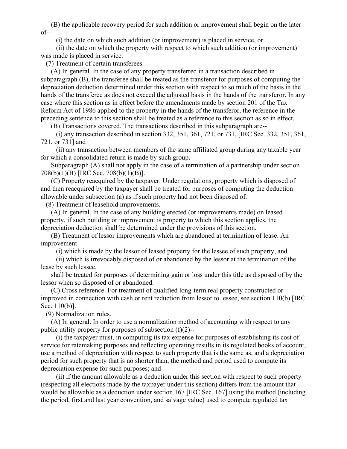(B) the applicable recovery period for such addition or improvement shall begin on the later  $of --$ 

(i) the date on which such addition (or improvement) is placed in service, or

 (ii) the date on which the property with respect to which such addition (or improvement) was made is placed in service.

(7) Treatment of certain transferees.

 (A) In general. In the case of any property transferred in a transaction described in subparagraph (B), the transferee shall be treated as the transferor for purposes of computing the depreciation deduction determined under this section with respect to so much of the basis in the hands of the transferee as does not exceed the adjusted basis in the hands of the transferor. In any case where this section as in effect before the amendments made by section 201 of the Tax Reform Act of 1986 applied to the property in the hands of the transferor, the reference in the preceding sentence to this section shall be treated as a reference to this section as so in effect.

(B) Transactions covered. The transactions described in this subparagraph are--

 (i) any transaction described in section 332, 351, 361, 721, or 731, [IRC Sec. 332, 351, 361, 721, or 731] and

 (ii) any transaction between members of the same affiliated group during any taxable year for which a consolidated return is made by such group.

 Subparagraph (A) shall not apply in the case of a termination of a partnership under section 708(b)(1)(B) [IRC Sec. 708(b)(1)(B)].

 (C) Property reacquired by the taxpayer. Under regulations, property which is disposed of and then reacquired by the taxpayer shall be treated for purposes of computing the deduction allowable under subsection (a) as if such property had not been disposed of.

(8) Treatment of leasehold improvements.

 (A) In general. In the case of any building erected (or improvements made) on leased property, if such building or improvement is property to which this section applies, the depreciation deduction shall be determined under the provisions of this section.

 (B) Treatment of lessor improvements which are abandoned at termination of lease. An improvement--

(i) which is made by the lessor of leased property for the lessee of such property, and

 (ii) which is irrevocably disposed of or abandoned by the lessor at the termination of the lease by such lessee,

 shall be treated for purposes of determining gain or loss under this title as disposed of by the lessor when so disposed of or abandoned.

 (C) Cross reference. For treatment of qualified long-term real property constructed or improved in connection with cash or rent reduction from lessor to lessee, see section 110(b) [IRC Sec. 110(b)].

(9) Normalization rules.

 (A) In general. In order to use a normalization method of accounting with respect to any public utility property for purposes of subsection (f)(2)--

 (i) the taxpayer must, in computing its tax expense for purposes of establishing its cost of service for ratemaking purposes and reflecting operating results in its regulated books of account, use a method of depreciation with respect to such property that is the same as, and a depreciation period for such property that is no shorter than, the method and period used to compute its depreciation expense for such purposes; and

 (ii) if the amount allowable as a deduction under this section with respect to such property (respecting all elections made by the taxpayer under this section) differs from the amount that would be allowable as a deduction under section 167 [IRC Sec. 167] using the method (including the period, first and last year convention, and salvage value) used to compute regulated tax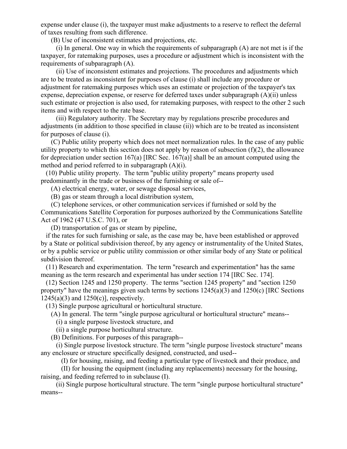expense under clause (i), the taxpayer must make adjustments to a reserve to reflect the deferral of taxes resulting from such difference.

(B) Use of inconsistent estimates and projections, etc.

 (i) In general. One way in which the requirements of subparagraph (A) are not met is if the taxpayer, for ratemaking purposes, uses a procedure or adjustment which is inconsistent with the requirements of subparagraph (A).

 (ii) Use of inconsistent estimates and projections. The procedures and adjustments which are to be treated as inconsistent for purposes of clause (i) shall include any procedure or adjustment for ratemaking purposes which uses an estimate or projection of the taxpayer's tax expense, depreciation expense, or reserve for deferred taxes under subparagraph (A)(ii) unless such estimate or projection is also used, for ratemaking purposes, with respect to the other 2 such items and with respect to the rate base.

 (iii) Regulatory authority. The Secretary may by regulations prescribe procedures and adjustments (in addition to those specified in clause (ii)) which are to be treated as inconsistent for purposes of clause (i).

 (C) Public utility property which does not meet normalization rules. In the case of any public utility property to which this section does not apply by reason of subsection  $(f)(2)$ , the allowance for depreciation under section 167(a) [IRC Sec. 167(a)] shall be an amount computed using the method and period referred to in subparagraph (A)(i).

 (10) Public utility property. The term "public utility property" means property used predominantly in the trade or business of the furnishing or sale of--

(A) electrical energy, water, or sewage disposal services,

(B) gas or steam through a local distribution system,

 (C) telephone services, or other communication services if furnished or sold by the Communications Satellite Corporation for purposes authorized by the Communications Satellite Act of 1962 (47 U.S.C. 701), or

(D) transportation of gas or steam by pipeline,

 if the rates for such furnishing or sale, as the case may be, have been established or approved by a State or political subdivision thereof, by any agency or instrumentality of the United States, or by a public service or public utility commission or other similar body of any State or political subdivision thereof.

 (11) Research and experimentation. The term "research and experimentation" has the same meaning as the term research and experimental has under section 174 [IRC Sec. 174].

 (12) Section 1245 and 1250 property. The terms "section 1245 property" and "section 1250 property" have the meanings given such terms by sections 1245(a)(3) and 1250(c) [IRC Sections  $1245(a)(3)$  and  $1250(c)$ ], respectively.

(13) Single purpose agricultural or horticultural structure.

(A) In general. The term "single purpose agricultural or horticultural structure" means--

(i) a single purpose livestock structure, and

(ii) a single purpose horticultural structure.

(B) Definitions. For purposes of this paragraph--

 (i) Single purpose livestock structure. The term "single purpose livestock structure" means any enclosure or structure specifically designed, constructed, and used--

(I) for housing, raising, and feeding a particular type of livestock and their produce, and

 (II) for housing the equipment (including any replacements) necessary for the housing, raising, and feeding referred to in subclause (I).

 (ii) Single purpose horticultural structure. The term "single purpose horticultural structure" means--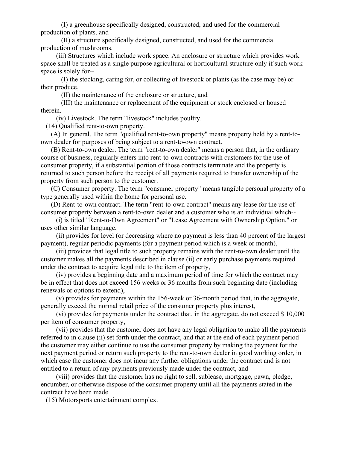(I) a greenhouse specifically designed, constructed, and used for the commercial production of plants, and

 (II) a structure specifically designed, constructed, and used for the commercial production of mushrooms.

 (iii) Structures which include work space. An enclosure or structure which provides work space shall be treated as a single purpose agricultural or horticultural structure only if such work space is solely for--

 (I) the stocking, caring for, or collecting of livestock or plants (as the case may be) or their produce,

(II) the maintenance of the enclosure or structure, and

 (III) the maintenance or replacement of the equipment or stock enclosed or housed therein.

(iv) Livestock. The term "livestock" includes poultry.

(14) Qualified rent-to-own property.

 (A) In general. The term "qualified rent-to-own property" means property held by a rent-toown dealer for purposes of being subject to a rent-to-own contract.

 (B) Rent-to-own dealer. The term "rent-to-own dealer" means a person that, in the ordinary course of business, regularly enters into rent-to-own contracts with customers for the use of consumer property, if a substantial portion of those contracts terminate and the property is returned to such person before the receipt of all payments required to transfer ownership of the property from such person to the customer.

 (C) Consumer property. The term "consumer property" means tangible personal property of a type generally used within the home for personal use.

 (D) Rent-to-own contract. The term "rent-to-own contract" means any lease for the use of consumer property between a rent-to-own dealer and a customer who is an individual which--

 (i) is titled "Rent-to-Own Agreement" or "Lease Agreement with Ownership Option," or uses other similar language,

 (ii) provides for level (or decreasing where no payment is less than 40 percent of the largest payment), regular periodic payments (for a payment period which is a week or month),

 (iii) provides that legal title to such property remains with the rent-to-own dealer until the customer makes all the payments described in clause (ii) or early purchase payments required under the contract to acquire legal title to the item of property,

 (iv) provides a beginning date and a maximum period of time for which the contract may be in effect that does not exceed 156 weeks or 36 months from such beginning date (including renewals or options to extend),

 (v) provides for payments within the 156-week or 36-month period that, in the aggregate, generally exceed the normal retail price of the consumer property plus interest,

 (vi) provides for payments under the contract that, in the aggregate, do not exceed \$ 10,000 per item of consumer property,

 (vii) provides that the customer does not have any legal obligation to make all the payments referred to in clause (ii) set forth under the contract, and that at the end of each payment period the customer may either continue to use the consumer property by making the payment for the next payment period or return such property to the rent-to-own dealer in good working order, in which case the customer does not incur any further obligations under the contract and is not entitled to a return of any payments previously made under the contract, and

 (viii) provides that the customer has no right to sell, sublease, mortgage, pawn, pledge, encumber, or otherwise dispose of the consumer property until all the payments stated in the contract have been made.

(15) Motorsports entertainment complex.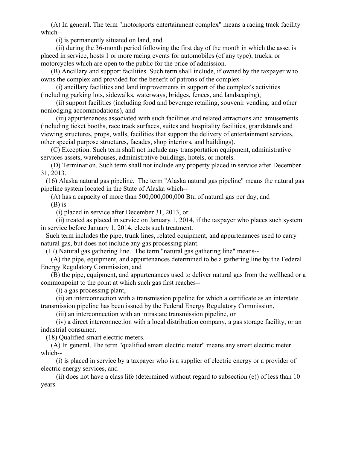(A) In general. The term "motorsports entertainment complex" means a racing track facility which--

(i) is permanently situated on land, and

 (ii) during the 36-month period following the first day of the month in which the asset is placed in service, hosts 1 or more racing events for automobiles (of any type), trucks, or motorcycles which are open to the public for the price of admission.

 (B) Ancillary and support facilities. Such term shall include, if owned by the taxpayer who owns the complex and provided for the benefit of patrons of the complex--

 (i) ancillary facilities and land improvements in support of the complex's activities (including parking lots, sidewalks, waterways, bridges, fences, and landscaping),

 (ii) support facilities (including food and beverage retailing, souvenir vending, and other nonlodging accommodations), and

 (iii) appurtenances associated with such facilities and related attractions and amusements (including ticket booths, race track surfaces, suites and hospitality facilities, grandstands and viewing structures, props, walls, facilities that support the delivery of entertainment services, other special purpose structures, facades, shop interiors, and buildings).

 (C) Exception. Such term shall not include any transportation equipment, administrative services assets, warehouses, administrative buildings, hotels, or motels.

 (D) Termination. Such term shall not include any property placed in service after December 31, 2013.

 (16) Alaska natural gas pipeline. The term "Alaska natural gas pipeline" means the natural gas pipeline system located in the State of Alaska which--

(A) has a capacity of more than 500,000,000,000 Btu of natural gas per day, and

(B) is--

(i) placed in service after December 31, 2013, or

 (ii) treated as placed in service on January 1, 2014, if the taxpayer who places such system in service before January 1, 2014, elects such treatment.

 Such term includes the pipe, trunk lines, related equipment, and appurtenances used to carry natural gas, but does not include any gas processing plant.

(17) Natural gas gathering line. The term "natural gas gathering line" means--

 (A) the pipe, equipment, and appurtenances determined to be a gathering line by the Federal Energy Regulatory Commission, and

 (B) the pipe, equipment, and appurtenances used to deliver natural gas from the wellhead or a commonpoint to the point at which such gas first reaches--

(i) a gas processing plant,

 (ii) an interconnection with a transmission pipeline for which a certificate as an interstate transmission pipeline has been issued by the Federal Energy Regulatory Commission,

(iii) an interconnection with an intrastate transmission pipeline, or

 (iv) a direct interconnection with a local distribution company, a gas storage facility, or an industrial consumer.

(18) Qualified smart electric meters.

 (A) In general. The term "qualified smart electric meter" means any smart electric meter which--

 (i) is placed in service by a taxpayer who is a supplier of electric energy or a provider of electric energy services, and

(ii) does not have a class life (determined without regard to subsection  $(e)$ ) of less than 10 years.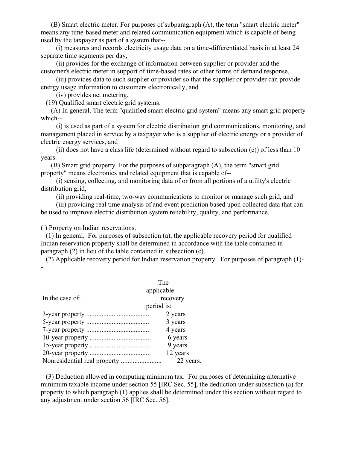(B) Smart electric meter. For purposes of subparagraph (A), the term "smart electric meter" means any time-based meter and related communication equipment which is capable of being used by the taxpayer as part of a system that--

 (i) measures and records electricity usage data on a time-differentiated basis in at least 24 separate time segments per day,

 (ii) provides for the exchange of information between supplier or provider and the customer's electric meter in support of time-based rates or other forms of demand response,

 (iii) provides data to such supplier or provider so that the supplier or provider can provide energy usage information to customers electronically, and

(iv) provides net metering.

(19) Qualified smart electric grid systems.

 (A) In general. The term "qualified smart electric grid system" means any smart grid property which--

 (i) is used as part of a system for electric distribution grid communications, monitoring, and management placed in service by a taxpayer who is a supplier of electric energy or a provider of electric energy services, and

 (ii) does not have a class life (determined without regard to subsection (e)) of less than 10 years.

 (B) Smart grid property. For the purposes of subparagraph (A), the term "smart grid property" means electronics and related equipment that is capable of--

 (i) sensing, collecting, and monitoring data of or from all portions of a utility's electric distribution grid,

(ii) providing real-time, two-way communications to monitor or manage such grid, and

 (iii) providing real time analysis of and event prediction based upon collected data that can be used to improve electric distribution system reliability, quality, and performance.

(j) Property on Indian reservations.

 (1) In general. For purposes of subsection (a), the applicable recovery period for qualified Indian reservation property shall be determined in accordance with the table contained in paragraph (2) in lieu of the table contained in subsection (c).

 (2) Applicable recovery period for Indian reservation property. For purposes of paragraph (1)- -

|                 | The        |
|-----------------|------------|
|                 | applicable |
| In the case of: | recovery   |
|                 | period is: |
|                 | 2 years    |
|                 | 3 years    |
|                 | 4 years    |
|                 | 6 years    |
|                 | 9 years    |
|                 | 12 years   |
|                 | 22 years.  |

 (3) Deduction allowed in computing minimum tax. For purposes of determining alternative minimum taxable income under section 55 [IRC Sec. 55], the deduction under subsection (a) for property to which paragraph (1) applies shall be determined under this section without regard to any adjustment under section 56 [IRC Sec. 56].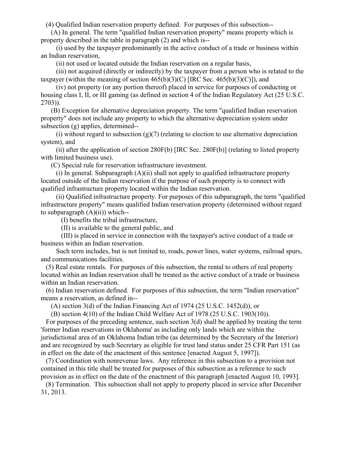(4) Qualified Indian reservation property defined. For purposes of this subsection--

 (A) In general. The term "qualified Indian reservation property" means property which is property described in the table in paragraph (2) and which is--

 (i) used by the taxpayer predominantly in the active conduct of a trade or business within an Indian reservation,

(ii) not used or located outside the Indian reservation on a regular basis,

 (iii) not acquired (directly or indirectly) by the taxpayer from a person who is related to the taxpayer (within the meaning of section  $465(b)(3)(C)$  [IRC Sec.  $465(b)(3)(C)$ ]), and

 (iv) not property (or any portion thereof) placed in service for purposes of conducting or housing class I, II, or III gaming (as defined in section 4 of the Indian Regulatory Act (25 U.S.C. 2703)).

 (B) Exception for alternative depreciation property. The term "qualified Indian reservation property" does not include any property to which the alternative depreciation system under subsection (g) applies, determined--

(i) without regard to subsection  $(g)(7)$  (relating to election to use alternative depreciation system), and

 (ii) after the application of section 280F(b) [IRC Sec. 280F(b)] (relating to listed property with limited business use).

(C) Special rule for reservation infrastructure investment.

 $(i)$  In general. Subparagraph  $(A)(ii)$  shall not apply to qualified infrastructure property located outside of the Indian reservation if the purpose of such property is to connect with qualified infrastructure property located within the Indian reservation.

 (ii) Qualified infrastructure property. For purposes of this subparagraph, the term "qualified infrastructure property" means qualified Indian reservation property (determined without regard to subparagraph  $(A)(ii)$ ) which--

(I) benefits the tribal infrastructure,

(II) is available to the general public, and

 (III) is placed in service in connection with the taxpayer's active conduct of a trade or business within an Indian reservation.

 Such term includes, but is not limited to, roads, power lines, water systems, railroad spurs, and communications facilities.

 (5) Real estate rentals. For purposes of this subsection, the rental to others of real property located within an Indian reservation shall be treated as the active conduct of a trade or business within an Indian reservation.

 (6) Indian reservation defined. For purposes of this subsection, the term "Indian reservation" means a reservation, as defined in--

 $(A)$  section 3(d) of the Indian Financing Act of 1974 (25 U.S.C. 1452(d)), or

(B) section 4(10) of the Indian Child Welfare Act of 1978 (25 U.S.C. 1903(10)).

 For purposes of the preceding sentence, such section 3(d) shall be applied by treating the term 'former Indian reservations in Oklahoma' as including only lands which are within the jurisdictional area of an Oklahoma Indian tribe (as determined by the Secretary of the Interior) and are recognized by such Secretary as eligible for trust land status under 25 CFR Part 151 (as in effect on the date of the enactment of this sentence [enacted August 5, 1997]).

 (7) Coordination with nonrevenue laws. Any reference in this subsection to a provision not contained in this title shall be treated for purposes of this subsection as a reference to such provision as in effect on the date of the enactment of this paragraph [enacted August 10, 1993].

 (8) Termination. This subsection shall not apply to property placed in service after December 31, 2013.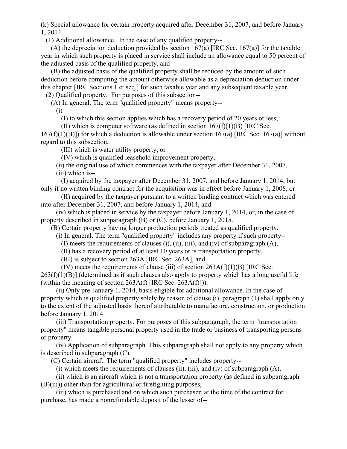(k) Special allowance for certain property acquired after December 31, 2007, and before January 1, 2014.

(1) Additional allowance. In the case of any qualified property--

(A) the depreciation deduction provided by section  $167(a)$  [IRC Sec. 167(a)] for the taxable year in which such property is placed in service shall include an allowance equal to 50 percent of the adjusted basis of the qualified property, and

 (B) the adjusted basis of the qualified property shall be reduced by the amount of such deduction before computing the amount otherwise allowable as a depreciation deduction under this chapter [IRC Sections 1 et seq.] for such taxable year and any subsequent taxable year. (2) Qualified property. For purposes of this subsection--

(A) In general. The term "qualified property" means property--

(i)

(I) to which this section applies which has a recovery period of 20 years or less,

(II) which is computer software (as defined in section  $167(f)(1)(B)$  [IRC Sec.

 $167(f)(1)(B)$ ]) for which a deduction is allowable under section  $167(a)$  [IRC Sec. 167(a)] without regard to this subsection,

(III) which is water utility property, or

(IV) which is qualified leasehold improvement property,

 (ii) the original use of which commences with the taxpayer after December 31, 2007, (iii) which is--

 (I) acquired by the taxpayer after December 31, 2007, and before January 1, 2014, but only if no written binding contract for the acquisition was in effect before January 1, 2008, or

 (II) acquired by the taxpayer pursuant to a written binding contract which was entered into after December 31, 2007, and before January 1, 2014, and

 (iv) which is placed in service by the taxpayer before January 1, 2014, or, in the case of property described in subparagraph (B) or (C), before January 1, 2015.

(B) Certain property having longer production periods treated as qualified property.

(i) In general. The term "qualified property" includes any property if such property--

(I) meets the requirements of clauses (i), (ii), (iii), and (iv) of subparagraph (A),

(II) has a recovery period of at least 10 years or is transportation property,

(III) is subject to section 263A [IRC Sec. 263A], and

 $(IV)$  meets the requirements of clause (iii) of section 263A(f)(1)(B) [IRC Sec.  $263(f)(1)(B)$ ] (determined as if such clauses also apply to property which has a long useful life (within the meaning of section 263A(f) [IRC Sec. 263A(f)])).

 (ii) Only pre-January 1, 2014, basis eligible for additional allowance. In the case of property which is qualified property solely by reason of clause (i), paragraph (1) shall apply only to the extent of the adjusted basis thereof attributable to manufacture, construction, or production before January 1, 2014.

 (iii) Transportation property. For purposes of this subparagraph, the term "transportation property" means tangible personal property used in the trade or business of transporting persons or property.

 (iv) Application of subparagraph. This subparagraph shall not apply to any property which is described in subparagraph (C).

(C) Certain aircraft. The term "qualified property" includes property--

(i) which meets the requirements of clauses (ii), (iii), and (iv) of subparagraph (A),

 (ii) which is an aircraft which is not a transportation property (as defined in subparagraph (B)(iii)) other than for agricultural or firefighting purposes,

 (iii) which is purchased and on which such purchaser, at the time of the contract for purchase, has made a nonrefundable deposit of the lesser of--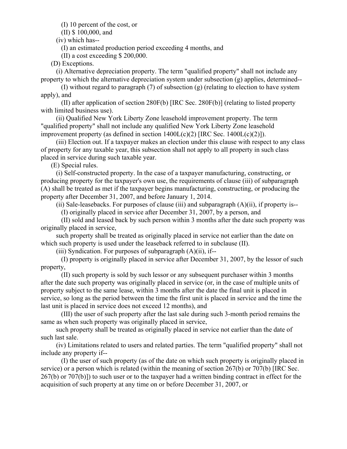(I) 10 percent of the cost, or

(II) \$ 100,000, and

(iv) which has--

(I) an estimated production period exceeding 4 months, and

(II) a cost exceeding \$ 200,000.

(D) Exceptions.

 (i) Alternative depreciation property. The term "qualified property" shall not include any property to which the alternative depreciation system under subsection (g) applies, determined--

 (I) without regard to paragraph (7) of subsection (g) (relating to election to have system apply), and

 (II) after application of section 280F(b) [IRC Sec. 280F(b)] (relating to listed property with limited business use).

 (ii) Qualified New York Liberty Zone leasehold improvement property. The term "qualified property" shall not include any qualified New York Liberty Zone leasehold improvement property (as defined in section  $1400L(c)(2)$  [IRC Sec.  $1400L(c)(2)$ ]).

 (iii) Election out. If a taxpayer makes an election under this clause with respect to any class of property for any taxable year, this subsection shall not apply to all property in such class placed in service during such taxable year.

(E) Special rules.

 (i) Self-constructed property. In the case of a taxpayer manufacturing, constructing, or producing property for the taxpayer's own use, the requirements of clause (iii) of subparagraph (A) shall be treated as met if the taxpayer begins manufacturing, constructing, or producing the property after December 31, 2007, and before January 1, 2014.

(ii) Sale-leasebacks. For purposes of clause (iii) and subparagraph  $(A)(ii)$ , if property is--

(I) originally placed in service after December 31, 2007, by a person, and

 (II) sold and leased back by such person within 3 months after the date such property was originally placed in service,

 such property shall be treated as originally placed in service not earlier than the date on which such property is used under the leaseback referred to in subclause (II).

(iii) Syndication. For purposes of subparagraph  $(A)(ii)$ , if--

 (I) property is originally placed in service after December 31, 2007, by the lessor of such property,

 (II) such property is sold by such lessor or any subsequent purchaser within 3 months after the date such property was originally placed in service (or, in the case of multiple units of property subject to the same lease, within 3 months after the date the final unit is placed in service, so long as the period between the time the first unit is placed in service and the time the last unit is placed in service does not exceed 12 months), and

 (III) the user of such property after the last sale during such 3-month period remains the same as when such property was originally placed in service,

 such property shall be treated as originally placed in service not earlier than the date of such last sale.

 (iv) Limitations related to users and related parties. The term "qualified property" shall not include any property if--

 (I) the user of such property (as of the date on which such property is originally placed in service) or a person which is related (within the meaning of section 267(b) or 707(b) [IRC Sec. 267(b) or 707(b)]) to such user or to the taxpayer had a written binding contract in effect for the acquisition of such property at any time on or before December 31, 2007, or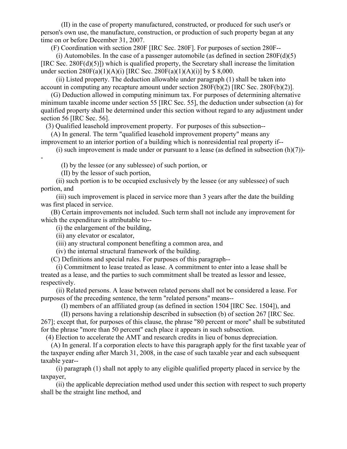(II) in the case of property manufactured, constructed, or produced for such user's or person's own use, the manufacture, construction, or production of such property began at any time on or before December 31, 2007.

(F) Coordination with section 280F [IRC Sec. 280F]. For purposes of section 280F--

(i) Automobiles. In the case of a passenger automobile (as defined in section  $280F(d)(5)$ [IRC Sec. 280F(d)(5)]) which is qualified property, the Secretary shall increase the limitation under section  $280F(a)(1)(A)(i)$  [IRC Sec.  $280F(a)(1)(A)(i)$ ] by \$ 8,000.

 (ii) Listed property. The deduction allowable under paragraph (1) shall be taken into account in computing any recapture amount under section 280F(b)(2) [IRC Sec. 280F(b)(2)].

 (G) Deduction allowed in computing minimum tax. For purposes of determining alternative minimum taxable income under section 55 [IRC Sec. 55], the deduction under subsection (a) for qualified property shall be determined under this section without regard to any adjustment under section 56 [IRC Sec. 56].

(3) Qualified leasehold improvement property. For purposes of this subsection--

 (A) In general. The term "qualified leasehold improvement property" means any improvement to an interior portion of a building which is nonresidential real property if--

(i) such improvement is made under or pursuant to a lease (as defined in subsection  $(h)(7)$ )-

(I) by the lessee (or any sublessee) of such portion, or

(II) by the lessor of such portion,

-

 (ii) such portion is to be occupied exclusively by the lessee (or any sublessee) of such portion, and

 (iii) such improvement is placed in service more than 3 years after the date the building was first placed in service.

 (B) Certain improvements not included. Such term shall not include any improvement for which the expenditure is attributable to--

(i) the enlargement of the building,

(ii) any elevator or escalator,

(iii) any structural component benefiting a common area, and

(iv) the internal structural framework of the building.

(C) Definitions and special rules. For purposes of this paragraph--

 (i) Commitment to lease treated as lease. A commitment to enter into a lease shall be treated as a lease, and the parties to such commitment shall be treated as lessor and lessee, respectively.

 (ii) Related persons. A lease between related persons shall not be considered a lease. For purposes of the preceding sentence, the term "related persons" means--

(I) members of an affiliated group (as defined in section 1504 [IRC Sec. 1504]), and

(II) persons having a relationship described in subsection (b) of section 267 [IRC Sec.

267]; except that, for purposes of this clause, the phrase "80 percent or more" shall be substituted for the phrase "more than 50 percent" each place it appears in such subsection.

(4) Election to accelerate the AMT and research credits in lieu of bonus depreciation.

 (A) In general. If a corporation elects to have this paragraph apply for the first taxable year of the taxpayer ending after March 31, 2008, in the case of such taxable year and each subsequent taxable year--

 (i) paragraph (1) shall not apply to any eligible qualified property placed in service by the taxpayer,

 (ii) the applicable depreciation method used under this section with respect to such property shall be the straight line method, and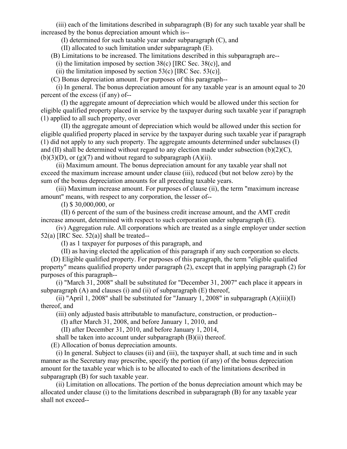(iii) each of the limitations described in subparagraph (B) for any such taxable year shall be increased by the bonus depreciation amount which is--

(I) determined for such taxable year under subparagraph (C), and

(II) allocated to such limitation under subparagraph (E).

(B) Limitations to be increased. The limitations described in this subparagraph are--

(i) the limitation imposed by section  $38(c)$  [IRC Sec.  $38(c)$ ], and

(ii) the limitation imposed by section 53(c) [IRC Sec. 53(c)].

(C) Bonus depreciation amount. For purposes of this paragraph--

 (i) In general. The bonus depreciation amount for any taxable year is an amount equal to 20 percent of the excess (if any) of--

 (I) the aggregate amount of depreciation which would be allowed under this section for eligible qualified property placed in service by the taxpayer during such taxable year if paragraph (1) applied to all such property, over

 (II) the aggregate amount of depreciation which would be allowed under this section for eligible qualified property placed in service by the taxpayer during such taxable year if paragraph (1) did not apply to any such property. The aggregate amounts determined under subclauses (I) and (II) shall be determined without regard to any election made under subsection (b)(2)(C),  $(b)(3)(D)$ , or  $(g)(7)$  and without regard to subparagraph  $(A)(ii)$ .

 (ii) Maximum amount. The bonus depreciation amount for any taxable year shall not exceed the maximum increase amount under clause (iii), reduced (but not below zero) by the sum of the bonus depreciation amounts for all preceding taxable years.

 (iii) Maximum increase amount. For purposes of clause (ii), the term "maximum increase amount" means, with respect to any corporation, the lesser of--

(I) \$ 30,000,000, or

 (II) 6 percent of the sum of the business credit increase amount, and the AMT credit increase amount, determined with respect to such corporation under subparagraph (E).

 (iv) Aggregation rule. All corporations which are treated as a single employer under section  $52(a)$  [IRC Sec.  $52(a)$ ] shall be treated--

(I) as 1 taxpayer for purposes of this paragraph, and

(II) as having elected the application of this paragraph if any such corporation so elects.

 (D) Eligible qualified property. For purposes of this paragraph, the term "eligible qualified property" means qualified property under paragraph (2), except that in applying paragraph (2) for purposes of this paragraph--

 (i) "March 31, 2008" shall be substituted for "December 31, 2007" each place it appears in subparagraph  $(A)$  and clauses  $(i)$  and  $(ii)$  of subparagraph  $(E)$  thereof,

(ii) "April 1, 2008" shall be substituted for "January 1, 2008" in subparagraph  $(A)(iii)(I)$ thereof, and

(iii) only adjusted basis attributable to manufacture, construction, or production--

(I) after March 31, 2008, and before January 1, 2010, and

(II) after December 31, 2010, and before January 1, 2014,

shall be taken into account under subparagraph (B)(ii) thereof.

(E) Allocation of bonus depreciation amounts.

 (i) In general. Subject to clauses (ii) and (iii), the taxpayer shall, at such time and in such manner as the Secretary may prescribe, specify the portion (if any) of the bonus depreciation amount for the taxable year which is to be allocated to each of the limitations described in subparagraph (B) for such taxable year.

 (ii) Limitation on allocations. The portion of the bonus depreciation amount which may be allocated under clause (i) to the limitations described in subparagraph (B) for any taxable year shall not exceed--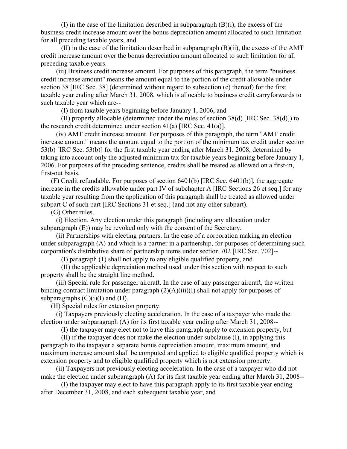(I) in the case of the limitation described in subparagraph (B)(i), the excess of the business credit increase amount over the bonus depreciation amount allocated to such limitation for all preceding taxable years, and

 (II) in the case of the limitation described in subparagraph (B)(ii), the excess of the AMT credit increase amount over the bonus depreciation amount allocated to such limitation for all preceding taxable years.

 (iii) Business credit increase amount. For purposes of this paragraph, the term "business credit increase amount" means the amount equal to the portion of the credit allowable under section 38 [IRC Sec. 38] (determined without regard to subsection (c) thereof) for the first taxable year ending after March 31, 2008, which is allocable to business credit carryforwards to such taxable year which are--

(I) from taxable years beginning before January 1, 2006, and

 (II) properly allocable (determined under the rules of section 38(d) [IRC Sec. 38(d)]) to the research credit determined under section  $41(a)$  [IRC Sec.  $41(a)$ ].

 (iv) AMT credit increase amount. For purposes of this paragraph, the term "AMT credit increase amount" means the amount equal to the portion of the minimum tax credit under section 53(b) [IRC Sec. 53(b)] for the first taxable year ending after March 31, 2008, determined by taking into account only the adjusted minimum tax for taxable years beginning before January 1, 2006. For purposes of the preceding sentence, credits shall be treated as allowed on a first-in, first-out basis.

 (F) Credit refundable. For purposes of section 6401(b) [IRC Sec. 6401(b)], the aggregate increase in the credits allowable under part IV of subchapter A [IRC Sections 26 et seq.] for any taxable year resulting from the application of this paragraph shall be treated as allowed under subpart C of such part [IRC Sections 31 et seq.] (and not any other subpart).

(G) Other rules.

 (i) Election. Any election under this paragraph (including any allocation under subparagraph (E)) may be revoked only with the consent of the Secretary.

 (ii) Partnerships with electing partners. In the case of a corporation making an election under subparagraph (A) and which is a partner in a partnership, for purposes of determining such corporation's distributive share of partnership items under section 702 [IRC Sec. 702]--

(I) paragraph (1) shall not apply to any eligible qualified property, and

 (II) the applicable depreciation method used under this section with respect to such property shall be the straight line method.

 (iii) Special rule for passenger aircraft. In the case of any passenger aircraft, the written binding contract limitation under paragraph  $(2)(A)(iii)(I)$  shall not apply for purposes of subparagraphs  $(C)(i)(I)$  and  $(D)$ .

(H) Special rules for extension property.

 (i) Taxpayers previously electing acceleration. In the case of a taxpayer who made the election under subparagraph (A) for its first taxable year ending after March 31, 2008--

(I) the taxpayer may elect not to have this paragraph apply to extension property, but

 (II) if the taxpayer does not make the election under subclause (I), in applying this paragraph to the taxpayer a separate bonus depreciation amount, maximum amount, and maximum increase amount shall be computed and applied to eligible qualified property which is extension property and to eligible qualified property which is not extension property.

 (ii) Taxpayers not previously electing acceleration. In the case of a taxpayer who did not make the election under subparagraph (A) for its first taxable year ending after March 31, 2008--

 (I) the taxpayer may elect to have this paragraph apply to its first taxable year ending after December 31, 2008, and each subsequent taxable year, and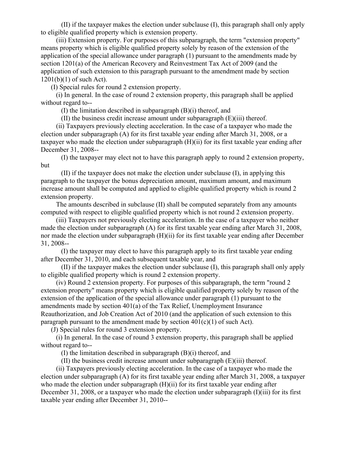(II) if the taxpayer makes the election under subclause (I), this paragraph shall only apply to eligible qualified property which is extension property.

 (iii) Extension property. For purposes of this subparagraph, the term "extension property" means property which is eligible qualified property solely by reason of the extension of the application of the special allowance under paragraph (1) pursuant to the amendments made by section 1201(a) of the American Recovery and Reinvestment Tax Act of 2009 (and the application of such extension to this paragraph pursuant to the amendment made by section 1201(b)(1) of such Act).

(I) Special rules for round 2 extension property.

 (i) In general. In the case of round 2 extension property, this paragraph shall be applied without regard to--

(I) the limitation described in subparagraph (B)(i) thereof, and

(II) the business credit increase amount under subparagraph (E)(iii) thereof.

 (ii) Taxpayers previously electing acceleration. In the case of a taxpayer who made the election under subparagraph (A) for its first taxable year ending after March 31, 2008, or a taxpayer who made the election under subparagraph (H)(ii) for its first taxable year ending after December 31, 2008--

 (I) the taxpayer may elect not to have this paragraph apply to round 2 extension property, but

 (II) if the taxpayer does not make the election under subclause (I), in applying this paragraph to the taxpayer the bonus depreciation amount, maximum amount, and maximum increase amount shall be computed and applied to eligible qualified property which is round 2 extension property.

 The amounts described in subclause (II) shall be computed separately from any amounts computed with respect to eligible qualified property which is not round 2 extension property.

 (iii) Taxpayers not previously electing acceleration. In the case of a taxpayer who neither made the election under subparagraph (A) for its first taxable year ending after March 31, 2008, nor made the election under subparagraph (H)(ii) for its first taxable year ending after December 31, 2008--

 (I) the taxpayer may elect to have this paragraph apply to its first taxable year ending after December 31, 2010, and each subsequent taxable year, and

 (II) if the taxpayer makes the election under subclause (I), this paragraph shall only apply to eligible qualified property which is round 2 extension property.

 (iv) Round 2 extension property. For purposes of this subparagraph, the term "round 2 extension property" means property which is eligible qualified property solely by reason of the extension of the application of the special allowance under paragraph (1) pursuant to the amendments made by section 401(a) of the Tax Relief, Unemployment Insurance Reauthorization, and Job Creation Act of 2010 (and the application of such extension to this paragraph pursuant to the amendment made by section  $401(c)(1)$  of such Act).

(J) Special rules for round 3 extension property.

 (i) In general. In the case of round 3 extension property, this paragraph shall be applied without regard to--

(I) the limitation described in subparagraph (B)(i) thereof, and

(II) the business credit increase amount under subparagraph (E)(iii) thereof.

 (ii) Taxpayers previously electing acceleration. In the case of a taxpayer who made the election under subparagraph (A) for its first taxable year ending after March 31, 2008, a taxpayer who made the election under subparagraph (H)(ii) for its first taxable year ending after December 31, 2008, or a taxpayer who made the election under subparagraph  $(I)(iii)$  for its first taxable year ending after December 31, 2010--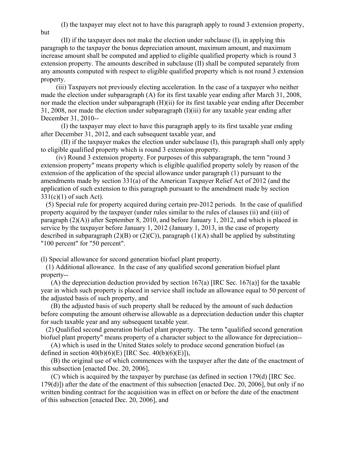(I) the taxpayer may elect not to have this paragraph apply to round 3 extension property,

but

 (II) if the taxpayer does not make the election under subclause (I), in applying this paragraph to the taxpayer the bonus depreciation amount, maximum amount, and maximum increase amount shall be computed and applied to eligible qualified property which is round 3 extension property. The amounts described in subclause (II) shall be computed separately from any amounts computed with respect to eligible qualified property which is not round 3 extension property.

 (iii) Taxpayers not previously electing acceleration. In the case of a taxpayer who neither made the election under subparagraph (A) for its first taxable year ending after March 31, 2008, nor made the election under subparagraph (H)(ii) for its first taxable year ending after December 31, 2008, nor made the election under subparagraph (I)(iii) for any taxable year ending after December 31, 2010--

 (I) the taxpayer may elect to have this paragraph apply to its first taxable year ending after December 31, 2012, and each subsequent taxable year, and

 (II) if the taxpayer makes the election under subclause (I), this paragraph shall only apply to eligible qualified property which is round 3 extension property.

 (iv) Round 3 extension property. For purposes of this subparagraph, the term "round 3 extension property" means property which is eligible qualified property solely by reason of the extension of the application of the special allowance under paragraph (1) pursuant to the amendments made by section 331(a) of the American Taxpayer Relief Act of 2012 (and the application of such extension to this paragraph pursuant to the amendment made by section  $331(c)(1)$  of such Act).

 (5) Special rule for property acquired during certain pre-2012 periods. In the case of qualified property acquired by the taxpayer (under rules similar to the rules of clauses (ii) and (iii) of paragraph (2)(A)) after September 8, 2010, and before January 1, 2012, and which is placed in service by the taxpayer before January 1, 2012 (January 1, 2013, in the case of property described in subparagraph (2)(B) or (2)(C)), paragraph (1)(A) shall be applied by substituting "100 percent" for "50 percent".

(l) Special allowance for second generation biofuel plant property.

 (1) Additional allowance. In the case of any qualified second generation biofuel plant property--

(A) the depreciation deduction provided by section  $167(a)$  [IRC Sec. 167(a)] for the taxable year in which such property is placed in service shall include an allowance equal to 50 percent of the adjusted basis of such property, and

 (B) the adjusted basis of such property shall be reduced by the amount of such deduction before computing the amount otherwise allowable as a depreciation deduction under this chapter for such taxable year and any subsequent taxable year.

 (2) Qualified second generation biofuel plant property. The term "qualified second generation biofuel plant property" means property of a character subject to the allowance for depreciation--

 (A) which is used in the United States solely to produce second generation biofuel (as defined in section  $40(b)(6)(E)$  [IRC Sec.  $40(b)(6)(E)$ ]),

 (B) the original use of which commences with the taxpayer after the date of the enactment of this subsection [enacted Dec. 20, 2006],

 (C) which is acquired by the taxpayer by purchase (as defined in section 179(d) [IRC Sec. 179(d)]) after the date of the enactment of this subsection [enacted Dec. 20, 2006], but only if no written binding contract for the acquisition was in effect on or before the date of the enactment of this subsection [enacted Dec. 20, 2006], and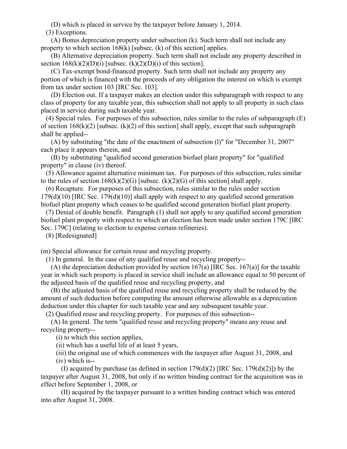(D) which is placed in service by the taxpayer before January 1, 2014.

(3) Exceptions.

 (A) Bonus depreciation property under subsection (k). Such term shall not include any property to which section 168(k) [subsec. (k) of this section] applies.

 (B) Alternative depreciation property. Such term shall not include any property described in section  $168(k)(2)(D)(i)$  [subsec.  $(k)(2)(D)(i)$  of this section].

 (C) Tax-exempt bond-financed property. Such term shall not include any property any portion of which is financed with the proceeds of any obligation the interest on which is exempt from tax under section 103 [IRC Sec. 103].

 (D) Election out. If a taxpayer makes an election under this subparagraph with respect to any class of property for any taxable year, this subsection shall not apply to all property in such class placed in service during such taxable year.

 (4) Special rules. For purposes of this subsection, rules similar to the rules of subparagraph (E) of section  $168(k)(2)$  [subsec.  $(k)(2)$  of this section] shall apply, except that such subparagraph shall be applied--

 (A) by substituting "the date of the enactment of subsection (l)" for "December 31, 2007" each place it appears therein, and

 (B) by substituting "qualified second generation biofuel plant property" for "qualified property" in clause (iv) thereof.

 (5) Allowance against alternative minimum tax. For purposes of this subsection, rules similar to the rules of section  $168(k)(2)(G)$  [subsec.  $(k)(2)(G)$  of this section] shall apply.

 (6) Recapture. For purposes of this subsection, rules similar to the rules under section  $179(d)(10)$  [IRC Sec.  $179(d)(10)$ ] shall apply with respect to any qualified second generation biofuel plant property which ceases to be qualified second generation biofuel plant property.

 (7) Denial of double benefit. Paragraph (1) shall not apply to any qualified second generation biofuel plant property with respect to which an election has been made under section 179C [IRC Sec. 179C] (relating to election to expense certain refineries).

(8) [Redesignated]

(m) Special allowance for certain reuse and recycling property.

(1) In general. In the case of any qualified reuse and recycling property--

(A) the depreciation deduction provided by section  $167(a)$  [IRC Sec. 167(a)] for the taxable year in which such property is placed in service shall include an allowance equal to 50 percent of the adjusted basis of the qualified reuse and recycling property, and

 (B) the adjusted basis of the qualified reuse and recycling property shall be reduced by the amount of such deduction before computing the amount otherwise allowable as a depreciation deduction under this chapter for such taxable year and any subsequent taxable year.

(2) Qualified reuse and recycling property. For purposes of this subsection--

 (A) In general. The term "qualified reuse and recycling property" means any reuse and recycling property--

(i) to which this section applies,

(ii) which has a useful life of at least 5 years,

 (iii) the original use of which commences with the taxpayer after August 31, 2008, and (iv) which is--

(I) acquired by purchase (as defined in section  $179(d)(2)$  [IRC Sec.  $179(d)(2)$ ]) by the taxpayer after August 31, 2008, but only if no written binding contract for the acquisition was in effect before September 1, 2008, or

 (II) acquired by the taxpayer pursuant to a written binding contract which was entered into after August 31, 2008.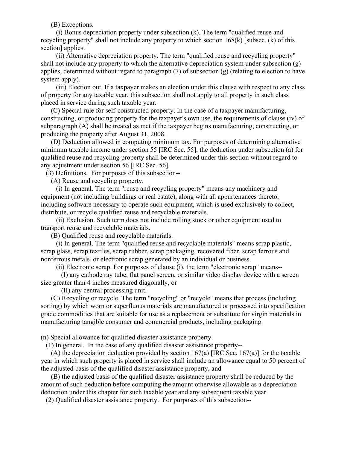(B) Exceptions.

 (i) Bonus depreciation property under subsection (k). The term "qualified reuse and recycling property" shall not include any property to which section 168(k) [subsec. (k) of this section] applies.

 (ii) Alternative depreciation property. The term "qualified reuse and recycling property" shall not include any property to which the alternative depreciation system under subsection (g) applies, determined without regard to paragraph (7) of subsection (g) (relating to election to have system apply).

 (iii) Election out. If a taxpayer makes an election under this clause with respect to any class of property for any taxable year, this subsection shall not apply to all property in such class placed in service during such taxable year.

 (C) Special rule for self-constructed property. In the case of a taxpayer manufacturing, constructing, or producing property for the taxpayer's own use, the requirements of clause (iv) of subparagraph (A) shall be treated as met if the taxpayer begins manufacturing, constructing, or producing the property after August 31, 2008.

 (D) Deduction allowed in computing minimum tax. For purposes of determining alternative minimum taxable income under section 55 [IRC Sec. 55], the deduction under subsection (a) for qualified reuse and recycling property shall be determined under this section without regard to any adjustment under section 56 [IRC Sec. 56].

(3) Definitions. For purposes of this subsection--

(A) Reuse and recycling property.

 (i) In general. The term "reuse and recycling property" means any machinery and equipment (not including buildings or real estate), along with all appurtenances thereto, including software necessary to operate such equipment, which is used exclusively to collect, distribute, or recycle qualified reuse and recyclable materials.

 (ii) Exclusion. Such term does not include rolling stock or other equipment used to transport reuse and recyclable materials.

(B) Qualified reuse and recyclable materials.

 (i) In general. The term "qualified reuse and recyclable materials" means scrap plastic, scrap glass, scrap textiles, scrap rubber, scrap packaging, recovered fiber, scrap ferrous and nonferrous metals, or electronic scrap generated by an individual or business.

(ii) Electronic scrap. For purposes of clause (i), the term "electronic scrap" means--

 (I) any cathode ray tube, flat panel screen, or similar video display device with a screen size greater than 4 inches measured diagonally, or

(II) any central processing unit.

 (C) Recycling or recycle. The term "recycling" or "recycle" means that process (including sorting) by which worn or superfluous materials are manufactured or processed into specification grade commodities that are suitable for use as a replacement or substitute for virgin materials in manufacturing tangible consumer and commercial products, including packaging

(n) Special allowance for qualified disaster assistance property.

(1) In general. In the case of any qualified disaster assistance property--

 (A) the depreciation deduction provided by section 167(a) [IRC Sec. 167(a)] for the taxable year in which such property is placed in service shall include an allowance equal to 50 percent of the adjusted basis of the qualified disaster assistance property, and

 (B) the adjusted basis of the qualified disaster assistance property shall be reduced by the amount of such deduction before computing the amount otherwise allowable as a depreciation deduction under this chapter for such taxable year and any subsequent taxable year.

(2) Qualified disaster assistance property. For purposes of this subsection--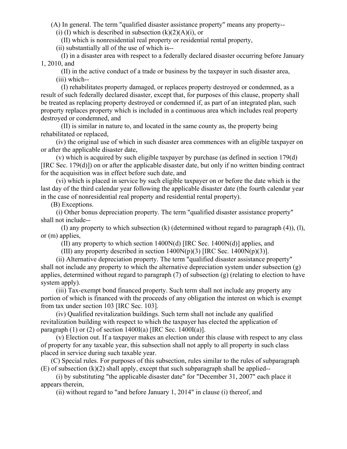(A) In general. The term "qualified disaster assistance property" means any property--

(i) (I) which is described in subsection  $(k)(2)(A)(i)$ , or

(II) which is nonresidential real property or residential rental property,

(ii) substantially all of the use of which is--

 (I) in a disaster area with respect to a federally declared disaster occurring before January 1, 2010, and

 (II) in the active conduct of a trade or business by the taxpayer in such disaster area, (iii) which--

 (I) rehabilitates property damaged, or replaces property destroyed or condemned, as a result of such federally declared disaster, except that, for purposes of this clause, property shall be treated as replacing property destroyed or condemned if, as part of an integrated plan, such property replaces property which is included in a continuous area which includes real property destroyed or condemned, and

 (II) is similar in nature to, and located in the same county as, the property being rehabilitated or replaced,

 (iv) the original use of which in such disaster area commences with an eligible taxpayer on or after the applicable disaster date,

 (v) which is acquired by such eligible taxpayer by purchase (as defined in section 179(d) [IRC Sec. 179(d)]) on or after the applicable disaster date, but only if no written binding contract for the acquisition was in effect before such date, and

 (vi) which is placed in service by such eligible taxpayer on or before the date which is the last day of the third calendar year following the applicable disaster date (the fourth calendar year in the case of nonresidential real property and residential rental property).

(B) Exceptions.

 (i) Other bonus depreciation property. The term "qualified disaster assistance property" shall not include--

 (I) any property to which subsection (k) (determined without regard to paragraph (4)), (l), or (m) applies,

(II) any property to which section 1400N(d) [IRC Sec. 1400N(d)] applies, and

(III) any property described in section  $1400N(p)(3)$  [IRC Sec.  $1400N(p)(3)$ ].

 (ii) Alternative depreciation property. The term "qualified disaster assistance property" shall not include any property to which the alternative depreciation system under subsection  $(g)$ applies, determined without regard to paragraph (7) of subsection (g) (relating to election to have system apply).

 (iii) Tax-exempt bond financed property. Such term shall not include any property any portion of which is financed with the proceeds of any obligation the interest on which is exempt from tax under section 103 [IRC Sec. 103].

 (iv) Qualified revitalization buildings. Such term shall not include any qualified revitalization building with respect to which the taxpayer has elected the application of paragraph  $(1)$  or  $(2)$  of section 1400I(a) [IRC Sec. 1400I(a)].

 (v) Election out. If a taxpayer makes an election under this clause with respect to any class of property for any taxable year, this subsection shall not apply to all property in such class placed in service during such taxable year.

 (C) Special rules. For purposes of this subsection, rules similar to the rules of subparagraph  $(E)$  of subsection  $(k)(2)$  shall apply, except that such subparagraph shall be applied--

 (i) by substituting "the applicable disaster date" for "December 31, 2007" each place it appears therein,

(ii) without regard to "and before January 1, 2014" in clause (i) thereof, and